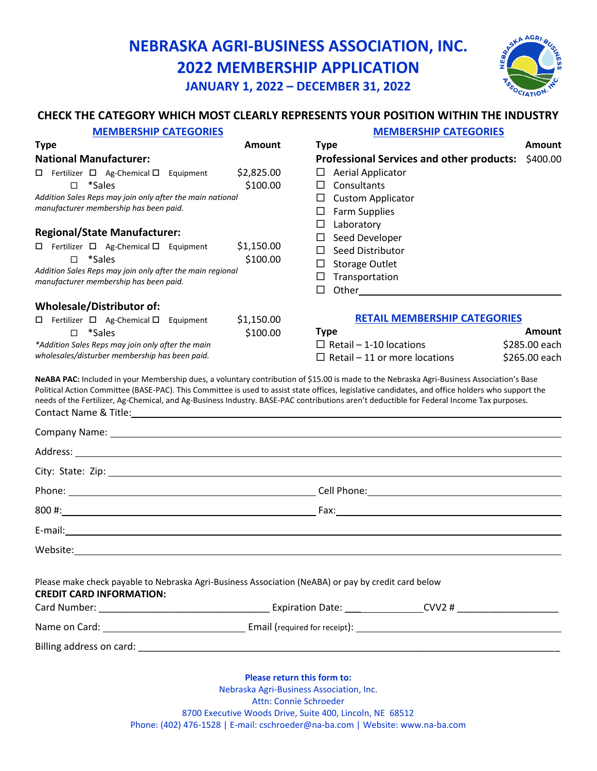## **NEBRASKA AGRI-BUSINESS ASSOCIATION, INC. 2022 MEMBERSHIP APPLICATION JANUARY 1, 2022 – DECEMBER 31, 2022**



#### **CHECK THE CATEGORY WHICH MOST CLEARLY REPRESENTS YOUR POSITION WITHIN THE INDUSTRY**

| <b>MEMBERSHIP CATEGORIES</b>                                                                                                                                                                                                                                                                                                                                                                                                                |                        | <b>MEMBERSHIP CATEGORIES</b>                                                                                                                        |               |
|---------------------------------------------------------------------------------------------------------------------------------------------------------------------------------------------------------------------------------------------------------------------------------------------------------------------------------------------------------------------------------------------------------------------------------------------|------------------------|-----------------------------------------------------------------------------------------------------------------------------------------------------|---------------|
| <b>Type</b>                                                                                                                                                                                                                                                                                                                                                                                                                                 | <b>Amount</b>          | <b>Type</b>                                                                                                                                         | <b>Amount</b> |
| <b>National Manufacturer:</b>                                                                                                                                                                                                                                                                                                                                                                                                               |                        | <b>Professional Services and other products:</b>                                                                                                    | \$400.00      |
| $\Box$ Fertilizer $\Box$ Ag-Chemical $\Box$ Equipment<br>*Sales<br>П.<br>Addition Sales Reps may join only after the main national                                                                                                                                                                                                                                                                                                          | \$2,825.00<br>\$100.00 | Aerial Applicator<br>□<br>Consultants<br>$\Box$<br><b>Custom Applicator</b><br>ш                                                                    |               |
| manufacturer membership has been paid.                                                                                                                                                                                                                                                                                                                                                                                                      |                        | <b>Farm Supplies</b><br>$\Box$                                                                                                                      |               |
| <b>Regional/State Manufacturer:</b>                                                                                                                                                                                                                                                                                                                                                                                                         |                        | $\Box$<br>Laboratory                                                                                                                                |               |
| $\Box$ Fertilizer $\Box$ Ag-Chemical $\Box$ Equipment                                                                                                                                                                                                                                                                                                                                                                                       | \$1,150.00             | $\Box$ Seed Developer                                                                                                                               |               |
| *Sales<br>$\Box$                                                                                                                                                                                                                                                                                                                                                                                                                            | \$100.00               | Seed Distributor<br>$\Box$                                                                                                                          |               |
| Addition Sales Reps may join only after the main regional                                                                                                                                                                                                                                                                                                                                                                                   |                        | □<br><b>Storage Outlet</b>                                                                                                                          |               |
| manufacturer membership has been paid.                                                                                                                                                                                                                                                                                                                                                                                                      |                        | Transportation<br>$\Box$<br>$\Box$<br>Other and the contract of the contract of the contract of the contract of the contract of the contract of the |               |
| <b>Wholesale/Distributor of:</b>                                                                                                                                                                                                                                                                                                                                                                                                            |                        |                                                                                                                                                     |               |
| Fertilizer □ Ag-Chemical □ Equipment                                                                                                                                                                                                                                                                                                                                                                                                        | \$1,150.00             | <b>RETAIL MEMBERSHIP CATEGORIES</b>                                                                                                                 |               |
| *Sales<br>П.                                                                                                                                                                                                                                                                                                                                                                                                                                | \$100.00               | <b>Type</b>                                                                                                                                         | Amount        |
| *Addition Sales Reps may join only after the main                                                                                                                                                                                                                                                                                                                                                                                           |                        | $\Box$ Retail - 1-10 locations                                                                                                                      | \$285.00 each |
| wholesales/disturber membership has been paid.                                                                                                                                                                                                                                                                                                                                                                                              |                        | $\Box$ Retail – 11 or more locations                                                                                                                | \$265.00 each |
| NeABA PAC: Included in your Membership dues, a voluntary contribution of \$15.00 is made to the Nebraska Agri-Business Association's Base<br>Political Action Committee (BASE-PAC). This Committee is used to assist state offices, legislative candidates, and office holders who support the<br>needs of the Fertilizer, Ag-Chemical, and Ag-Business Industry. BASE-PAC contributions aren't deductible for Federal Income Tax purposes. |                        |                                                                                                                                                     |               |
|                                                                                                                                                                                                                                                                                                                                                                                                                                             |                        |                                                                                                                                                     |               |
|                                                                                                                                                                                                                                                                                                                                                                                                                                             |                        |                                                                                                                                                     |               |
|                                                                                                                                                                                                                                                                                                                                                                                                                                             |                        |                                                                                                                                                     |               |
|                                                                                                                                                                                                                                                                                                                                                                                                                                             |                        |                                                                                                                                                     |               |
|                                                                                                                                                                                                                                                                                                                                                                                                                                             |                        |                                                                                                                                                     |               |
|                                                                                                                                                                                                                                                                                                                                                                                                                                             |                        |                                                                                                                                                     |               |
|                                                                                                                                                                                                                                                                                                                                                                                                                                             |                        |                                                                                                                                                     |               |
| Please make check payable to Nebraska Agri-Business Association (NeABA) or pay by credit card below<br><b>CREDIT CARD INFORMATION:</b>                                                                                                                                                                                                                                                                                                      |                        |                                                                                                                                                     |               |
|                                                                                                                                                                                                                                                                                                                                                                                                                                             |                        |                                                                                                                                                     |               |
|                                                                                                                                                                                                                                                                                                                                                                                                                                             |                        |                                                                                                                                                     |               |
|                                                                                                                                                                                                                                                                                                                                                                                                                                             |                        |                                                                                                                                                     |               |
| <b>Please return this form to:</b><br>Nebraska Agri-Business Association, Inc.                                                                                                                                                                                                                                                                                                                                                              |                        |                                                                                                                                                     |               |

Attn: Connie Schroeder

8700 Executive Woods Drive, Suite 400, Lincoln, NE 68512

Phone: (402) 476-1528 | E-mail: cschroeder@na-ba.com | Website: www.na-ba.com